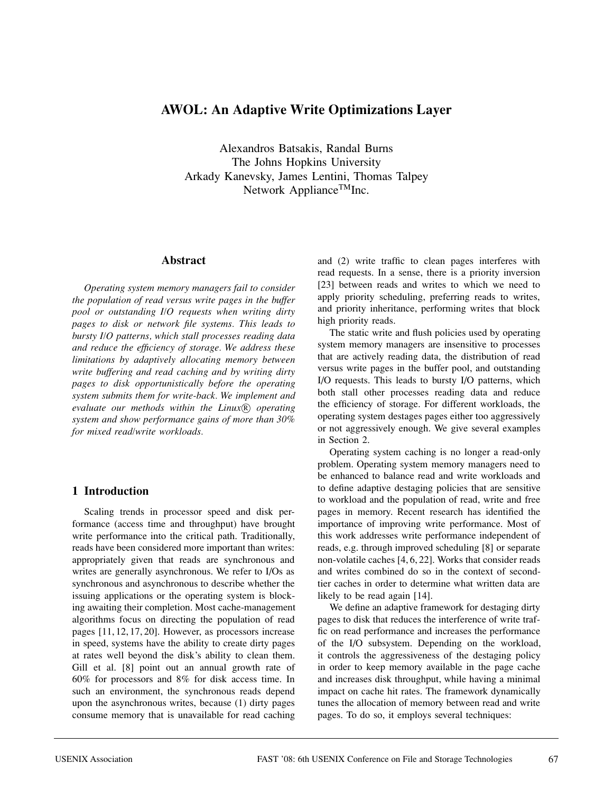# **AWOL: An Adaptive Write Optimizations Layer**

Alexandros Batsakis, Randal Burns The Johns Hopkins University Arkady Kanevsky, James Lentini, Thomas Talpey Network Appliance $^{TM}$ Inc.

## **Abstract**

*Operating system memory managers fail to consider the population of read versus write pages in the buffer pool or outstanding I/O requests when writing dirty pages to disk or network file systems. This leads to bursty I/O patterns, which stall processes reading data and reduce the efficiency of storage. We address these limitations by adaptively allocating memory between write buffering and read caching and by writing dirty pages to disk opportunistically before the operating system submits them for write-back. We implement and* evaluate our methods within the Linux<sup>®</sup> operating *system and show performance gains of more than 30% for mixed read/write workloads.*

## **1 Introduction**

Scaling trends in processor speed and disk performance (access time and throughput) have brought write performance into the critical path. Traditionally, reads have been considered more important than writes: appropriately given that reads are synchronous and writes are generally asynchronous. We refer to I/Os as synchronous and asynchronous to describe whether the issuing applications or the operating system is blocking awaiting their completion. Most cache-management algorithms focus on directing the population of read pages [11, 12, 17, 20]. However, as processors increase in speed, systems have the ability to create dirty pages at rates well beyond the disk's ability to clean them. Gill et al. [8] point out an annual growth rate of 60% for processors and 8% for disk access time. In such an environment, the synchronous reads depend upon the asynchronous writes, because (1) dirty pages consume memory that is unavailable for read caching

and (2) write traffic to clean pages interferes with read requests. In a sense, there is a priority inversion [23] between reads and writes to which we need to apply priority scheduling, preferring reads to writes, and priority inheritance, performing writes that block high priority reads.

The static write and flush policies used by operating system memory managers are insensitive to processes that are actively reading data, the distribution of read versus write pages in the buffer pool, and outstanding I/O requests. This leads to bursty I/O patterns, which both stall other processes reading data and reduce the efficiency of storage. For different workloads, the operating system destages pages either too aggressively or not aggressively enough. We give several examples in Section 2.

Operating system caching is no longer a read-only problem. Operating system memory managers need to be enhanced to balance read and write workloads and to define adaptive destaging policies that are sensitive to workload and the population of read, write and free pages in memory. Recent research has identified the importance of improving write performance. Most of this work addresses write performance independent of reads, e.g. through improved scheduling [8] or separate non-volatile caches [4, 6, 22]. Works that consider reads and writes combined do so in the context of secondtier caches in order to determine what written data are likely to be read again [14].

We define an adaptive framework for destaging dirty pages to disk that reduces the interference of write traffic on read performance and increases the performance of the I/O subsystem. Depending on the workload, it controls the aggressiveness of the destaging policy in order to keep memory available in the page cache and increases disk throughput, while having a minimal impact on cache hit rates. The framework dynamically tunes the allocation of memory between read and write pages. To do so, it employs several techniques: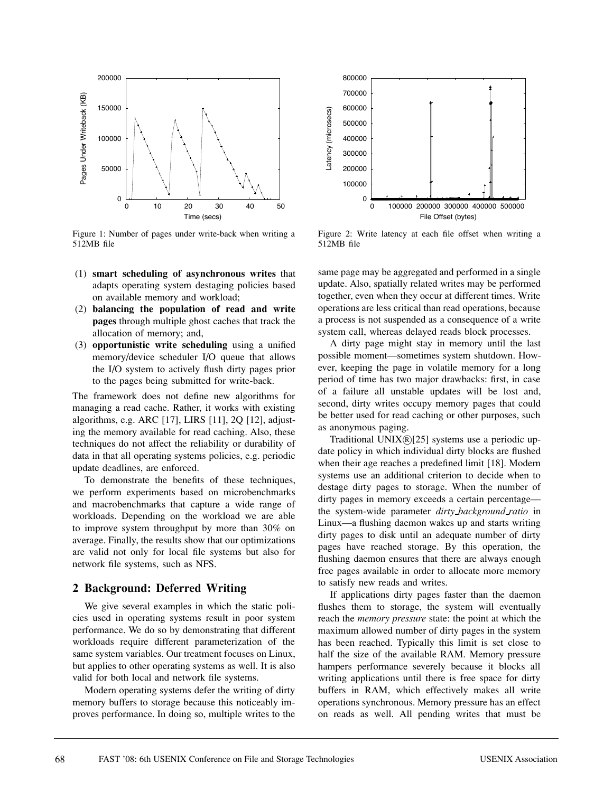

Figure 1: Number of pages under write-back when writing a 512MB file

- (1) **smart scheduling of asynchronous writes** that adapts operating system destaging policies based on available memory and workload;
- (2) **balancing the population of read and write pages** through multiple ghost caches that track the allocation of memory; and,
- (3) **opportunistic write scheduling** using a unified memory/device scheduler I/O queue that allows the I/O system to actively flush dirty pages prior to the pages being submitted for write-back.

The framework does not define new algorithms for managing a read cache. Rather, it works with existing algorithms, e.g. ARC [17], LIRS [11], 2Q [12], adjusting the memory available for read caching. Also, these techniques do not affect the reliability or durability of data in that all operating systems policies, e.g. periodic update deadlines, are enforced.

To demonstrate the benefits of these techniques, we perform experiments based on microbenchmarks and macrobenchmarks that capture a wide range of workloads. Depending on the workload we are able to improve system throughput by more than 30% on average. Finally, the results show that our optimizations are valid not only for local file systems but also for network file systems, such as NFS.

## **2 Background: Deferred Writing**

We give several examples in which the static policies used in operating systems result in poor system performance. We do so by demonstrating that different workloads require different parameterization of the same system variables. Our treatment focuses on Linux, but applies to other operating systems as well. It is also valid for both local and network file systems.

Modern operating systems defer the writing of dirty memory buffers to storage because this noticeably improves performance. In doing so, multiple writes to the



Figure 2: Write latency at each file offset when writing a 512MB file

same page may be aggregated and performed in a single update. Also, spatially related writes may be performed together, even when they occur at different times. Write operations are less critical than read operations, because a process is not suspended as a consequence of a write system call, whereas delayed reads block processes.

A dirty page might stay in memory until the last possible moment—sometimes system shutdown. However, keeping the page in volatile memory for a long period of time has two major drawbacks: first, in case of a failure all unstable updates will be lost and, second, dirty writes occupy memory pages that could be better used for read caching or other purposes, such as anonymous paging.

Traditional UNIX $\mathcal{R}[25]$  systems use a periodic update policy in which individual dirty blocks are flushed when their age reaches a predefined limit [18]. Modern systems use an additional criterion to decide when to destage dirty pages to storage. When the number of dirty pages in memory exceeds a certain percentage the system-wide parameter *dirty background ratio* in Linux—a flushing daemon wakes up and starts writing dirty pages to disk until an adequate number of dirty pages have reached storage. By this operation, the flushing daemon ensures that there are always enough free pages available in order to allocate more memory to satisfy new reads and writes.

If applications dirty pages faster than the daemon flushes them to storage, the system will eventually reach the *memory pressure* state: the point at which the maximum allowed number of dirty pages in the system has been reached. Typically this limit is set close to half the size of the available RAM. Memory pressure hampers performance severely because it blocks all writing applications until there is free space for dirty buffers in RAM, which effectively makes all write operations synchronous. Memory pressure has an effect on reads as well. All pending writes that must be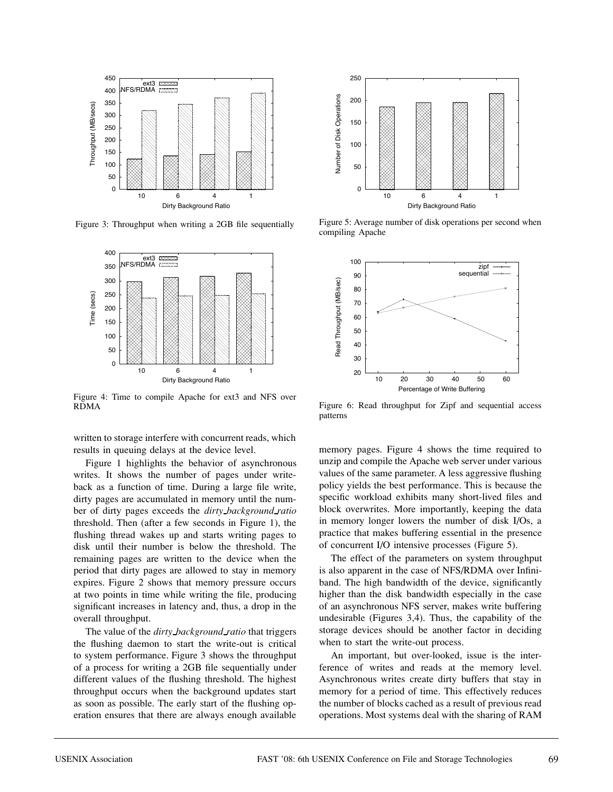

Figure 3: Throughput when writing a 2GB file sequentially



Figure 4: Time to compile Apache for ext3 and NFS over RDMA

written to storage interfere with concurrent reads, which results in queuing delays at the device level.

Figure 1 highlights the behavior of asynchronous writes. It shows the number of pages under writeback as a function of time. During a large file write, dirty pages are accumulated in memory until the number of dirty pages exceeds the *dirty background ratio* threshold. Then (after a few seconds in Figure 1), the flushing thread wakes up and starts writing pages to disk until their number is below the threshold. The remaining pages are written to the device when the period that dirty pages are allowed to stay in memory expires. Figure 2 shows that memory pressure occurs at two points in time while writing the file, producing significant increases in latency and, thus, a drop in the overall throughput.

The value of the *dirty background ratio* that triggers the flushing daemon to start the write-out is critical to system performance. Figure 3 shows the throughput of a process for writing a 2GB file sequentially under different values of the flushing threshold. The highest throughput occurs when the background updates start as soon as possible. The early start of the flushing operation ensures that there are always enough available



Figure 5: Average number of disk operations per second when compiling Apache



Figure 6: Read throughput for Zipf and sequential access patterns

memory pages. Figure 4 shows the time required to unzip and compile the Apache web server under various values of the same parameter. A less aggressive flushing policy yields the best performance. This is because the specific workload exhibits many short-lived files and block overwrites. More importantly, keeping the data in memory longer lowers the number of disk I/Os, a practice that makes buffering essential in the presence of concurrent I/O intensive processes (Figure 5).

The effect of the parameters on system throughput is also apparent in the case of NFS/RDMA over Infiniband. The high bandwidth of the device, significantly higher than the disk bandwidth especially in the case of an asynchronous NFS server, makes write buffering undesirable (Figures 3,4). Thus, the capability of the storage devices should be another factor in deciding when to start the write-out process.

An important, but over-looked, issue is the interference of writes and reads at the memory level. Asynchronous writes create dirty buffers that stay in memory for a period of time. This effectively reduces the number of blocks cached as a result of previous read operations. Most systems deal with the sharing of RAM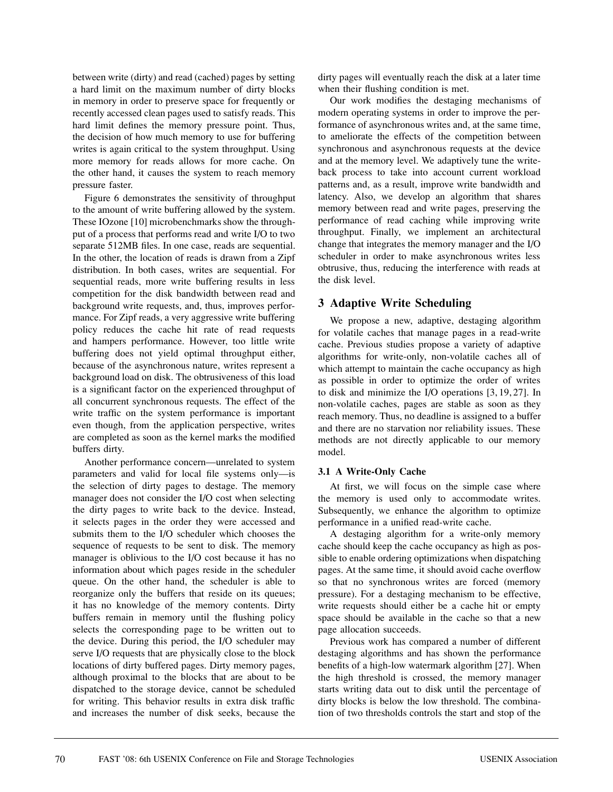between write (dirty) and read (cached) pages by setting a hard limit on the maximum number of dirty blocks in memory in order to preserve space for frequently or recently accessed clean pages used to satisfy reads. This hard limit defines the memory pressure point. Thus, the decision of how much memory to use for buffering writes is again critical to the system throughput. Using more memory for reads allows for more cache. On the other hand, it causes the system to reach memory pressure faster.

Figure 6 demonstrates the sensitivity of throughput to the amount of write buffering allowed by the system. These IOzone [10] microbenchmarks show the throughput of a process that performs read and write I/O to two separate 512MB files. In one case, reads are sequential. In the other, the location of reads is drawn from a Zipf distribution. In both cases, writes are sequential. For sequential reads, more write buffering results in less competition for the disk bandwidth between read and background write requests, and, thus, improves performance. For Zipf reads, a very aggressive write buffering policy reduces the cache hit rate of read requests and hampers performance. However, too little write buffering does not yield optimal throughput either, because of the asynchronous nature, writes represent a background load on disk. The obtrusiveness of this load is a significant factor on the experienced throughput of all concurrent synchronous requests. The effect of the write traffic on the system performance is important even though, from the application perspective, writes are completed as soon as the kernel marks the modified buffers dirty.

Another performance concern—unrelated to system parameters and valid for local file systems only—is the selection of dirty pages to destage. The memory manager does not consider the I/O cost when selecting the dirty pages to write back to the device. Instead, it selects pages in the order they were accessed and submits them to the I/O scheduler which chooses the sequence of requests to be sent to disk. The memory manager is oblivious to the I/O cost because it has no information about which pages reside in the scheduler queue. On the other hand, the scheduler is able to reorganize only the buffers that reside on its queues; it has no knowledge of the memory contents. Dirty buffers remain in memory until the flushing policy selects the corresponding page to be written out to the device. During this period, the I/O scheduler may serve I/O requests that are physically close to the block locations of dirty buffered pages. Dirty memory pages, although proximal to the blocks that are about to be dispatched to the storage device, cannot be scheduled for writing. This behavior results in extra disk traffic and increases the number of disk seeks, because the

dirty pages will eventually reach the disk at a later time when their flushing condition is met.

Our work modifies the destaging mechanisms of modern operating systems in order to improve the performance of asynchronous writes and, at the same time, to ameliorate the effects of the competition between synchronous and asynchronous requests at the device and at the memory level. We adaptively tune the writeback process to take into account current workload patterns and, as a result, improve write bandwidth and latency. Also, we develop an algorithm that shares memory between read and write pages, preserving the performance of read caching while improving write throughput. Finally, we implement an architectural change that integrates the memory manager and the I/O scheduler in order to make asynchronous writes less obtrusive, thus, reducing the interference with reads at the disk level.

# **3 Adaptive Write Scheduling**

We propose a new, adaptive, destaging algorithm for volatile caches that manage pages in a read-write cache. Previous studies propose a variety of adaptive algorithms for write-only, non-volatile caches all of which attempt to maintain the cache occupancy as high as possible in order to optimize the order of writes to disk and minimize the I/O operations [3, 19, 27]. In non-volatile caches, pages are stable as soon as they reach memory. Thus, no deadline is assigned to a buffer and there are no starvation nor reliability issues. These methods are not directly applicable to our memory model.

## **3.1 A Write-Only Cache**

At first, we will focus on the simple case where the memory is used only to accommodate writes. Subsequently, we enhance the algorithm to optimize performance in a unified read-write cache.

A destaging algorithm for a write-only memory cache should keep the cache occupancy as high as possible to enable ordering optimizations when dispatching pages. At the same time, it should avoid cache overflow so that no synchronous writes are forced (memory pressure). For a destaging mechanism to be effective, write requests should either be a cache hit or empty space should be available in the cache so that a new page allocation succeeds.

Previous work has compared a number of different destaging algorithms and has shown the performance benefits of a high-low watermark algorithm [27]. When the high threshold is crossed, the memory manager starts writing data out to disk until the percentage of dirty blocks is below the low threshold. The combination of two thresholds controls the start and stop of the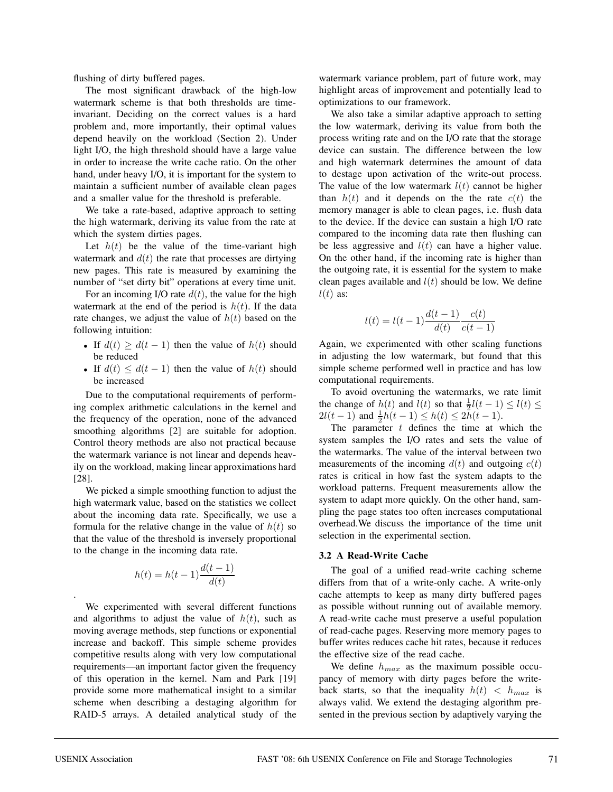flushing of dirty buffered pages.

The most significant drawback of the high-low watermark scheme is that both thresholds are timeinvariant. Deciding on the correct values is a hard problem and, more importantly, their optimal values depend heavily on the workload (Section 2). Under light I/O, the high threshold should have a large value in order to increase the write cache ratio. On the other hand, under heavy I/O, it is important for the system to maintain a sufficient number of available clean pages and a smaller value for the threshold is preferable.

We take a rate-based, adaptive approach to setting the high watermark, deriving its value from the rate at which the system dirties pages.

Let  $h(t)$  be the value of the time-variant high watermark and  $d(t)$  the rate that processes are dirtying new pages. This rate is measured by examining the number of "set dirty bit" operations at every time unit.

For an incoming I/O rate  $d(t)$ , the value for the high watermark at the end of the period is  $h(t)$ . If the data rate changes, we adjust the value of  $h(t)$  based on the following intuition:

- If  $d(t) \geq d(t-1)$  then the value of  $h(t)$  should be reduced
- If  $d(t) \leq d(t-1)$  then the value of  $h(t)$  should be increased

Due to the computational requirements of performing complex arithmetic calculations in the kernel and the frequency of the operation, none of the advanced smoothing algorithms [2] are suitable for adoption. Control theory methods are also not practical because the watermark variance is not linear and depends heavily on the workload, making linear approximations hard [28].

We picked a simple smoothing function to adjust the high watermark value, based on the statistics we collect about the incoming data rate. Specifically, we use a formula for the relative change in the value of  $h(t)$  so that the value of the threshold is inversely proportional to the change in the incoming data rate.

$$
h(t) = h(t-1)\frac{d(t-1)}{d(t)}
$$

We experimented with several different functions and algorithms to adjust the value of  $h(t)$ , such as moving average methods, step functions or exponential increase and backoff. This simple scheme provides competitive results along with very low computational requirements—an important factor given the frequency of this operation in the kernel. Nam and Park [19] provide some more mathematical insight to a similar scheme when describing a destaging algorithm for RAID-5 arrays. A detailed analytical study of the watermark variance problem, part of future work, may highlight areas of improvement and potentially lead to optimizations to our framework.

We also take a similar adaptive approach to setting the low watermark, deriving its value from both the process writing rate and on the I/O rate that the storage device can sustain. The difference between the low and high watermark determines the amount of data to destage upon activation of the write-out process. The value of the low watermark  $l(t)$  cannot be higher than  $h(t)$  and it depends on the the rate  $c(t)$  the memory manager is able to clean pages, i.e. flush data to the device. If the device can sustain a high I/O rate compared to the incoming data rate then flushing can be less aggressive and  $l(t)$  can have a higher value. On the other hand, if the incoming rate is higher than the outgoing rate, it is essential for the system to make clean pages available and  $l(t)$  should be low. We define  $l(t)$  as:

$$
l(t) = l(t-1)\frac{d(t-1)}{d(t)}\frac{c(t)}{c(t-1)}
$$

Again, we experimented with other scaling functions in adjusting the low watermark, but found that this simple scheme performed well in practice and has low computational requirements.

To avoid overtuning the watermarks, we rate limit the change of  $h(t)$  and  $l(t)$  so that  $\frac{1}{2}l(t-1) \leq l(t) \leq$  $2l(t-1)$  and  $\frac{1}{2}h(t-1) \leq h(t) \leq 2h(t-1)$ .

The parameter  $t$  defines the time at which the system samples the I/O rates and sets the value of the watermarks. The value of the interval between two measurements of the incoming  $d(t)$  and outgoing  $c(t)$ rates is critical in how fast the system adapts to the workload patterns. Frequent measurements allow the system to adapt more quickly. On the other hand, sampling the page states too often increases computational overhead.We discuss the importance of the time unit selection in the experimental section.

#### **3.2 A Read-Write Cache**

The goal of a unified read-write caching scheme differs from that of a write-only cache. A write-only cache attempts to keep as many dirty buffered pages as possible without running out of available memory. A read-write cache must preserve a useful population of read-cache pages. Reserving more memory pages to buffer writes reduces cache hit rates, because it reduces the effective size of the read cache.

We define  $h_{max}$  as the maximum possible occupancy of memory with dirty pages before the writeback starts, so that the inequality  $h(t) < h_{max}$  is always valid. We extend the destaging algorithm presented in the previous section by adaptively varying the

.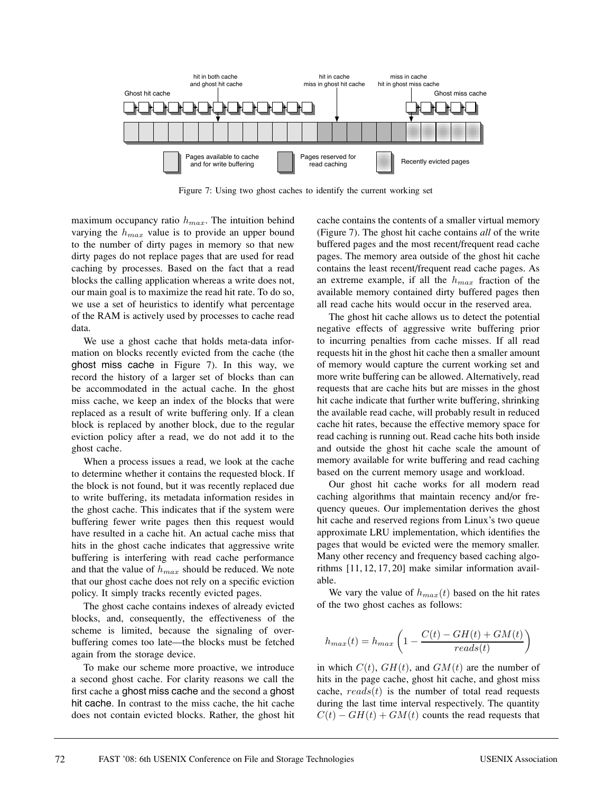

Figure 7: Using two ghost caches to identify the current working set

maximum occupancy ratio  $h_{max}$ . The intuition behind varying the  $h_{max}$  value is to provide an upper bound to the number of dirty pages in memory so that new dirty pages do not replace pages that are used for read caching by processes. Based on the fact that a read blocks the calling application whereas a write does not, our main goal is to maximize the read hit rate. To do so, we use a set of heuristics to identify what percentage of the RAM is actively used by processes to cache read data.

We use a ghost cache that holds meta-data information on blocks recently evicted from the cache (the ghost miss cache in Figure 7). In this way, we record the history of a larger set of blocks than can be accommodated in the actual cache. In the ghost miss cache, we keep an index of the blocks that were replaced as a result of write buffering only. If a clean block is replaced by another block, due to the regular eviction policy after a read, we do not add it to the ghost cache.

When a process issues a read, we look at the cache to determine whether it contains the requested block. If the block is not found, but it was recently replaced due to write buffering, its metadata information resides in the ghost cache. This indicates that if the system were buffering fewer write pages then this request would have resulted in a cache hit. An actual cache miss that hits in the ghost cache indicates that aggressive write buffering is interfering with read cache performance and that the value of  $h_{max}$  should be reduced. We note that our ghost cache does not rely on a specific eviction policy. It simply tracks recently evicted pages.

The ghost cache contains indexes of already evicted blocks, and, consequently, the effectiveness of the scheme is limited, because the signaling of overbuffering comes too late—the blocks must be fetched again from the storage device.

To make our scheme more proactive, we introduce a second ghost cache. For clarity reasons we call the first cache a ghost miss cache and the second a ghost hit cache. In contrast to the miss cache, the hit cache does not contain evicted blocks. Rather, the ghost hit

cache contains the contents of a smaller virtual memory (Figure 7). The ghost hit cache contains *all* of the write buffered pages and the most recent/frequent read cache pages. The memory area outside of the ghost hit cache contains the least recent/frequent read cache pages. As an extreme example, if all the  $h_{max}$  fraction of the available memory contained dirty buffered pages then all read cache hits would occur in the reserved area.

The ghost hit cache allows us to detect the potential negative effects of aggressive write buffering prior to incurring penalties from cache misses. If all read requests hit in the ghost hit cache then a smaller amount of memory would capture the current working set and more write buffering can be allowed. Alternatively, read requests that are cache hits but are misses in the ghost hit cache indicate that further write buffering, shrinking the available read cache, will probably result in reduced cache hit rates, because the effective memory space for read caching is running out. Read cache hits both inside and outside the ghost hit cache scale the amount of memory available for write buffering and read caching based on the current memory usage and workload.

Our ghost hit cache works for all modern read caching algorithms that maintain recency and/or frequency queues. Our implementation derives the ghost hit cache and reserved regions from Linux's two queue approximate LRU implementation, which identifies the pages that would be evicted were the memory smaller. Many other recency and frequency based caching algorithms [11, 12, 17, 20] make similar information available.

We vary the value of  $h_{max}(t)$  based on the hit rates of the two ghost caches as follows:

$$
h_{max}(t) = h_{max}\left(1 - \frac{C(t) - GH(t) + GM(t)}{reads(t)}\right)
$$

in which  $C(t)$ ,  $GH(t)$ , and  $GM(t)$  are the number of hits in the page cache, ghost hit cache, and ghost miss cache,  $reads(t)$  is the number of total read requests during the last time interval respectively. The quantity  $C(t) - GH(t) + GM(t)$  counts the read requests that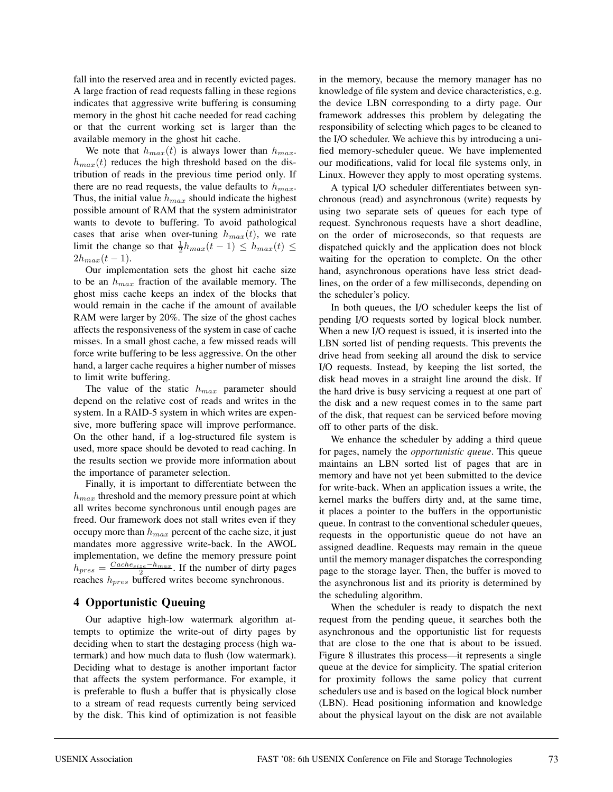fall into the reserved area and in recently evicted pages. A large fraction of read requests falling in these regions indicates that aggressive write buffering is consuming memory in the ghost hit cache needed for read caching or that the current working set is larger than the available memory in the ghost hit cache.

We note that  $h_{max}(t)$  is always lower than  $h_{max}$ .  $h_{max}(t)$  reduces the high threshold based on the distribution of reads in the previous time period only. If there are no read requests, the value defaults to  $h_{max}$ . Thus, the initial value  $h_{max}$  should indicate the highest possible amount of RAM that the system administrator wants to devote to buffering. To avoid pathological cases that arise when over-tuning  $h_{max}(t)$ , we rate limit the change so that  $\frac{1}{2}h_{max}(t-1) \leq h_{max}(t) \leq$  $2h_{max}(t-1)$ .

Our implementation sets the ghost hit cache size to be an  $h_{max}$  fraction of the available memory. The ghost miss cache keeps an index of the blocks that would remain in the cache if the amount of available RAM were larger by 20%. The size of the ghost caches affects the responsiveness of the system in case of cache misses. In a small ghost cache, a few missed reads will force write buffering to be less aggressive. On the other hand, a larger cache requires a higher number of misses to limit write buffering.

The value of the static  $h_{max}$  parameter should depend on the relative cost of reads and writes in the system. In a RAID-5 system in which writes are expensive, more buffering space will improve performance. On the other hand, if a log-structured file system is used, more space should be devoted to read caching. In the results section we provide more information about the importance of parameter selection.

Finally, it is important to differentiate between the  $h_{max}$  threshold and the memory pressure point at which all writes become synchronous until enough pages are freed. Our framework does not stall writes even if they occupy more than  $h_{max}$  percent of the cache size, it just mandates more aggressive write-back. In the AWOL implementation, we define the memory pressure point  $h_{pres} = \frac{Cache_{size}-h_{max}}{2}$ . If the number of dirty pages reaches  $h_{pres}$  buffered writes become synchronous.

## **4 Opportunistic Queuing**

Our adaptive high-low watermark algorithm attempts to optimize the write-out of dirty pages by deciding when to start the destaging process (high watermark) and how much data to flush (low watermark). Deciding what to destage is another important factor that affects the system performance. For example, it is preferable to flush a buffer that is physically close to a stream of read requests currently being serviced by the disk. This kind of optimization is not feasible

in the memory, because the memory manager has no knowledge of file system and device characteristics, e.g. the device LBN corresponding to a dirty page. Our framework addresses this problem by delegating the responsibility of selecting which pages to be cleaned to the I/O scheduler. We achieve this by introducing a unified memory-scheduler queue. We have implemented our modifications, valid for local file systems only, in Linux. However they apply to most operating systems.

A typical I/O scheduler differentiates between synchronous (read) and asynchronous (write) requests by using two separate sets of queues for each type of request. Synchronous requests have a short deadline, on the order of microseconds, so that requests are dispatched quickly and the application does not block waiting for the operation to complete. On the other hand, asynchronous operations have less strict deadlines, on the order of a few milliseconds, depending on the scheduler's policy.

In both queues, the I/O scheduler keeps the list of pending I/O requests sorted by logical block number. When a new I/O request is issued, it is inserted into the LBN sorted list of pending requests. This prevents the drive head from seeking all around the disk to service I/O requests. Instead, by keeping the list sorted, the disk head moves in a straight line around the disk. If the hard drive is busy servicing a request at one part of the disk and a new request comes in to the same part of the disk, that request can be serviced before moving off to other parts of the disk.

We enhance the scheduler by adding a third queue for pages, namely the *opportunistic queue*. This queue maintains an LBN sorted list of pages that are in memory and have not yet been submitted to the device for write-back. When an application issues a write, the kernel marks the buffers dirty and, at the same time, it places a pointer to the buffers in the opportunistic queue. In contrast to the conventional scheduler queues, requests in the opportunistic queue do not have an assigned deadline. Requests may remain in the queue until the memory manager dispatches the corresponding page to the storage layer. Then, the buffer is moved to the asynchronous list and its priority is determined by the scheduling algorithm.

When the scheduler is ready to dispatch the next request from the pending queue, it searches both the asynchronous and the opportunistic list for requests that are close to the one that is about to be issued. Figure 8 illustrates this process—it represents a single queue at the device for simplicity. The spatial criterion for proximity follows the same policy that current schedulers use and is based on the logical block number (LBN). Head positioning information and knowledge about the physical layout on the disk are not available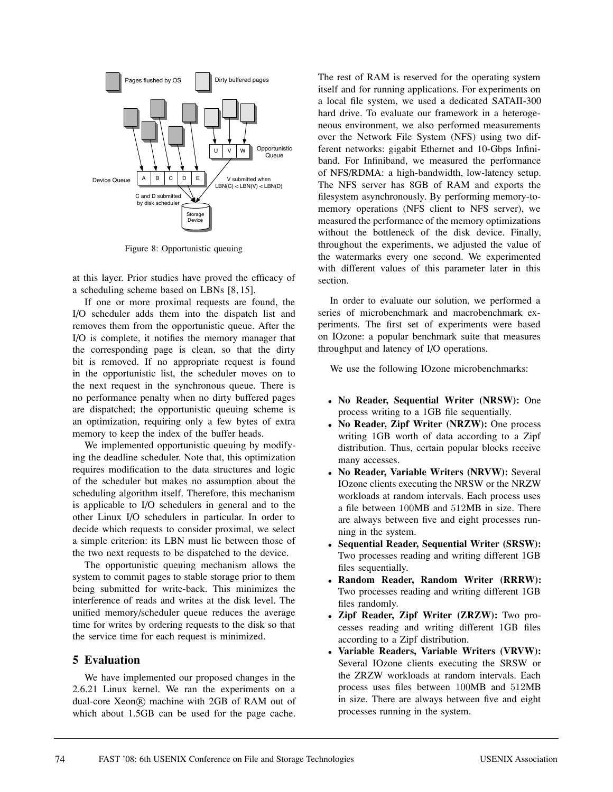

Figure 8: Opportunistic queuing

at this layer. Prior studies have proved the efficacy of a scheduling scheme based on LBNs [8, 15].

If one or more proximal requests are found, the I/O scheduler adds them into the dispatch list and removes them from the opportunistic queue. After the I/O is complete, it notifies the memory manager that the corresponding page is clean, so that the dirty bit is removed. If no appropriate request is found in the opportunistic list, the scheduler moves on to the next request in the synchronous queue. There is no performance penalty when no dirty buffered pages are dispatched; the opportunistic queuing scheme is an optimization, requiring only a few bytes of extra memory to keep the index of the buffer heads.

We implemented opportunistic queuing by modifying the deadline scheduler. Note that, this optimization requires modification to the data structures and logic of the scheduler but makes no assumption about the scheduling algorithm itself. Therefore, this mechanism is applicable to I/O schedulers in general and to the other Linux I/O schedulers in particular. In order to decide which requests to consider proximal, we select a simple criterion: its LBN must lie between those of the two next requests to be dispatched to the device.

The opportunistic queuing mechanism allows the system to commit pages to stable storage prior to them being submitted for write-back. This minimizes the interference of reads and writes at the disk level. The unified memory/scheduler queue reduces the average time for writes by ordering requests to the disk so that the service time for each request is minimized.

## **5 Evaluation**

We have implemented our proposed changes in the 2.6.21 Linux kernel. We ran the experiments on a dual-core Xeon® machine with 2GB of RAM out of which about 1.5GB can be used for the page cache.

The rest of RAM is reserved for the operating system itself and for running applications. For experiments on a local file system, we used a dedicated SATAII-300 hard drive. To evaluate our framework in a heterogeneous environment, we also performed measurements over the Network File System (NFS) using two different networks: gigabit Ethernet and 10-Gbps Infiniband. For Infiniband, we measured the performance of NFS/RDMA: a high-bandwidth, low-latency setup. The NFS server has 8GB of RAM and exports the filesystem asynchronously. By performing memory-tomemory operations (NFS client to NFS server), we measured the performance of the memory optimizations without the bottleneck of the disk device. Finally, throughout the experiments, we adjusted the value of the watermarks every one second. We experimented with different values of this parameter later in this section.

In order to evaluate our solution, we performed a series of microbenchmark and macrobenchmark experiments. The first set of experiments were based on IOzone: a popular benchmark suite that measures throughput and latency of I/O operations.

We use the following IOzone microbenchmarks:

- **No Reader, Sequential Writer (NRSW):** One process writing to a 1GB file sequentially.
- **No Reader, Zipf Writer (NRZW):** One process writing 1GB worth of data according to a Zipf distribution. Thus, certain popular blocks receive many accesses.
- **No Reader, Variable Writers (NRVW):** Several IOzone clients executing the NRSW or the NRZW workloads at random intervals. Each process uses a file between 100MB and 512MB in size. There are always between five and eight processes running in the system.
- **Sequential Reader, Sequential Writer (SRSW):** Two processes reading and writing different 1GB files sequentially.
- **Random Reader, Random Writer (RRRW):** Two processes reading and writing different 1GB files randomly.
- **Zipf Reader, Zipf Writer (ZRZW):** Two processes reading and writing different 1GB files according to a Zipf distribution.
- **Variable Readers, Variable Writers (VRVW):** Several IOzone clients executing the SRSW or the ZRZW workloads at random intervals. Each process uses files between 100MB and 512MB in size. There are always between five and eight processes running in the system.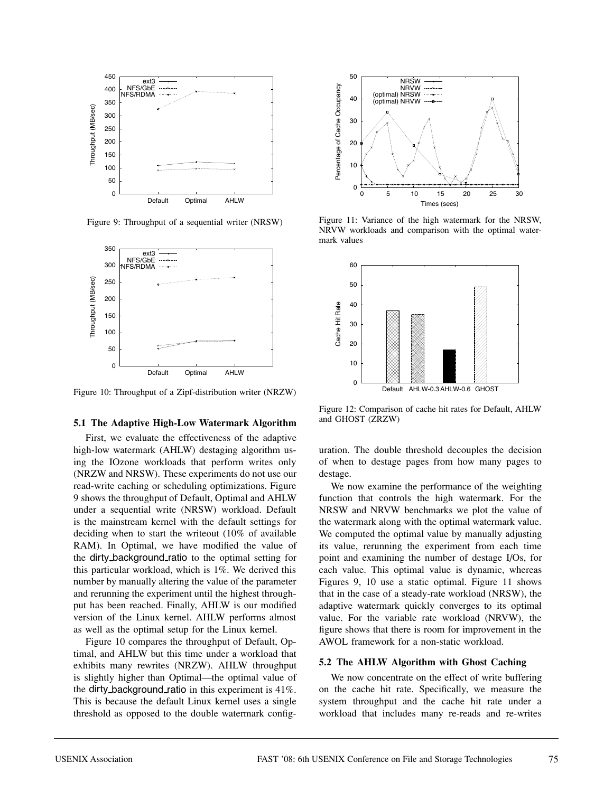

Figure 9: Throughput of a sequential writer (NRSW)



Figure 10: Throughput of a Zipf-distribution writer (NRZW)

#### **5.1 The Adaptive High-Low Watermark Algorithm**

First, we evaluate the effectiveness of the adaptive high-low watermark (AHLW) destaging algorithm using the IOzone workloads that perform writes only (NRZW and NRSW). These experiments do not use our read-write caching or scheduling optimizations. Figure 9 shows the throughput of Default, Optimal and AHLW under a sequential write (NRSW) workload. Default is the mainstream kernel with the default settings for deciding when to start the writeout (10% of available RAM). In Optimal, we have modified the value of the dirty background ratio to the optimal setting for this particular workload, which is 1%. We derived this number by manually altering the value of the parameter and rerunning the experiment until the highest throughput has been reached. Finally, AHLW is our modified version of the Linux kernel. AHLW performs almost as well as the optimal setup for the Linux kernel.

Figure 10 compares the throughput of Default, Optimal, and AHLW but this time under a workload that exhibits many rewrites (NRZW). AHLW throughput is slightly higher than Optimal—the optimal value of the dirty background ratio in this experiment is 41%. This is because the default Linux kernel uses a single threshold as opposed to the double watermark config-



Figure 11: Variance of the high watermark for the NRSW, NRVW workloads and comparison with the optimal watermark values



Figure 12: Comparison of cache hit rates for Default, AHLW and GHOST (ZRZW)

uration. The double threshold decouples the decision of when to destage pages from how many pages to destage.

We now examine the performance of the weighting function that controls the high watermark. For the NRSW and NRVW benchmarks we plot the value of the watermark along with the optimal watermark value. We computed the optimal value by manually adjusting its value, rerunning the experiment from each time point and examining the number of destage I/Os, for each value. This optimal value is dynamic, whereas Figures 9, 10 use a static optimal. Figure 11 shows that in the case of a steady-rate workload (NRSW), the adaptive watermark quickly converges to its optimal value. For the variable rate workload (NRVW), the figure shows that there is room for improvement in the AWOL framework for a non-static workload.

#### **5.2 The AHLW Algorithm with Ghost Caching**

We now concentrate on the effect of write buffering on the cache hit rate. Specifically, we measure the system throughput and the cache hit rate under a workload that includes many re-reads and re-writes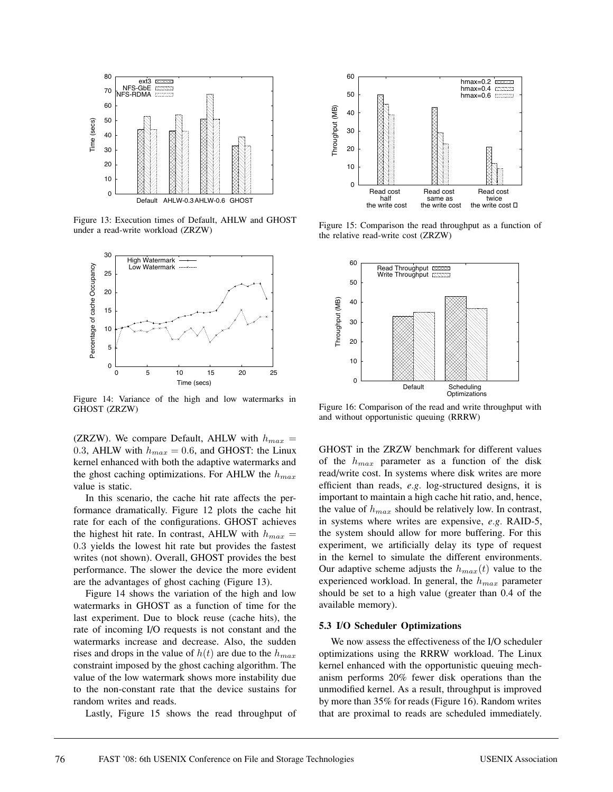

Figure 13: Execution times of Default, AHLW and GHOST under a read-write workload (ZRZW)



Figure 14: Variance of the high and low watermarks in GHOST (ZRZW)

(ZRZW). We compare Default, AHLW with  $h_{max}$  = 0.3, AHLW with  $h_{max} = 0.6$ , and GHOST: the Linux kernel enhanced with both the adaptive watermarks and the ghost caching optimizations. For AHLW the  $h_{max}$ value is static.

In this scenario, the cache hit rate affects the performance dramatically. Figure 12 plots the cache hit rate for each of the configurations. GHOST achieves the highest hit rate. In contrast, AHLW with  $h_{max}$  = 0.3 yields the lowest hit rate but provides the fastest writes (not shown). Overall, GHOST provides the best performance. The slower the device the more evident are the advantages of ghost caching (Figure 13).

Figure 14 shows the variation of the high and low watermarks in GHOST as a function of time for the last experiment. Due to block reuse (cache hits), the rate of incoming I/O requests is not constant and the watermarks increase and decrease. Also, the sudden rises and drops in the value of  $h(t)$  are due to the  $h_{max}$ constraint imposed by the ghost caching algorithm. The value of the low watermark shows more instability due to the non-constant rate that the device sustains for random writes and reads.

Lastly, Figure 15 shows the read throughput of



Figure 15: Comparison the read throughput as a function of the relative read-write cost (ZRZW)



Figure 16: Comparison of the read and write throughput with and without opportunistic queuing (RRRW)

GHOST in the ZRZW benchmark for different values of the  $h_{max}$  parameter as a function of the disk read/write cost. In systems where disk writes are more efficient than reads, *e.g.* log-structured designs, it is important to maintain a high cache hit ratio, and, hence, the value of  $h_{max}$  should be relatively low. In contrast, in systems where writes are expensive, *e.g.* RAID-5, the system should allow for more buffering. For this experiment, we artificially delay its type of request in the kernel to simulate the different environments. Our adaptive scheme adjusts the  $h_{max}(t)$  value to the experienced workload. In general, the  $h_{max}$  parameter should be set to a high value (greater than 0.4 of the available memory).

#### **5.3 I/O Scheduler Optimizations**

We now assess the effectiveness of the I/O scheduler optimizations using the RRRW workload. The Linux kernel enhanced with the opportunistic queuing mechanism performs 20% fewer disk operations than the unmodified kernel. As a result, throughput is improved by more than 35% for reads (Figure 16). Random writes that are proximal to reads are scheduled immediately.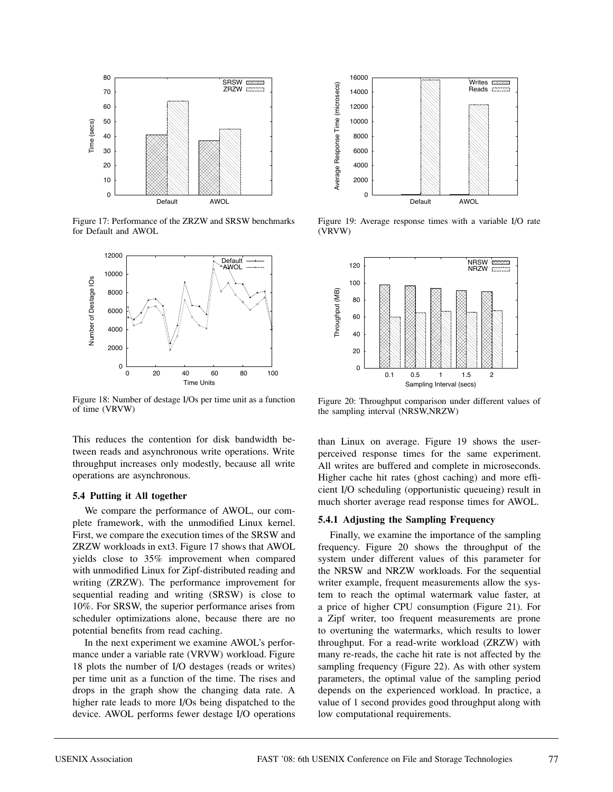

Figure 17: Performance of the ZRZW and SRSW benchmarks for Default and AWOL



Figure 18: Number of destage I/Os per time unit as a function of time (VRVW)

This reduces the contention for disk bandwidth between reads and asynchronous write operations. Write throughput increases only modestly, because all write operations are asynchronous.

#### **5.4 Putting it All together**

We compare the performance of AWOL, our complete framework, with the unmodified Linux kernel. First, we compare the execution times of the SRSW and ZRZW workloads in ext3. Figure 17 shows that AWOL yields close to 35% improvement when compared with unmodified Linux for Zipf-distributed reading and writing (ZRZW). The performance improvement for sequential reading and writing (SRSW) is close to 10%. For SRSW, the superior performance arises from scheduler optimizations alone, because there are no potential benefits from read caching.

In the next experiment we examine AWOL's performance under a variable rate (VRVW) workload. Figure 18 plots the number of I/O destages (reads or writes) per time unit as a function of the time. The rises and drops in the graph show the changing data rate. A higher rate leads to more I/Os being dispatched to the device. AWOL performs fewer destage I/O operations



Figure 19: Average response times with a variable I/O rate (VRVW)



Figure 20: Throughput comparison under different values of the sampling interval (NRSW,NRZW)

than Linux on average. Figure 19 shows the userperceived response times for the same experiment. All writes are buffered and complete in microseconds. Higher cache hit rates (ghost caching) and more efficient I/O scheduling (opportunistic queueing) result in much shorter average read response times for AWOL.

#### **5.4.1 Adjusting the Sampling Frequency**

Finally, we examine the importance of the sampling frequency. Figure 20 shows the throughput of the system under different values of this parameter for the NRSW and NRZW workloads. For the sequential writer example, frequent measurements allow the system to reach the optimal watermark value faster, at a price of higher CPU consumption (Figure 21). For a Zipf writer, too frequent measurements are prone to overtuning the watermarks, which results to lower throughput. For a read-write workload (ZRZW) with many re-reads, the cache hit rate is not affected by the sampling frequency (Figure 22). As with other system parameters, the optimal value of the sampling period depends on the experienced workload. In practice, a value of 1 second provides good throughput along with low computational requirements.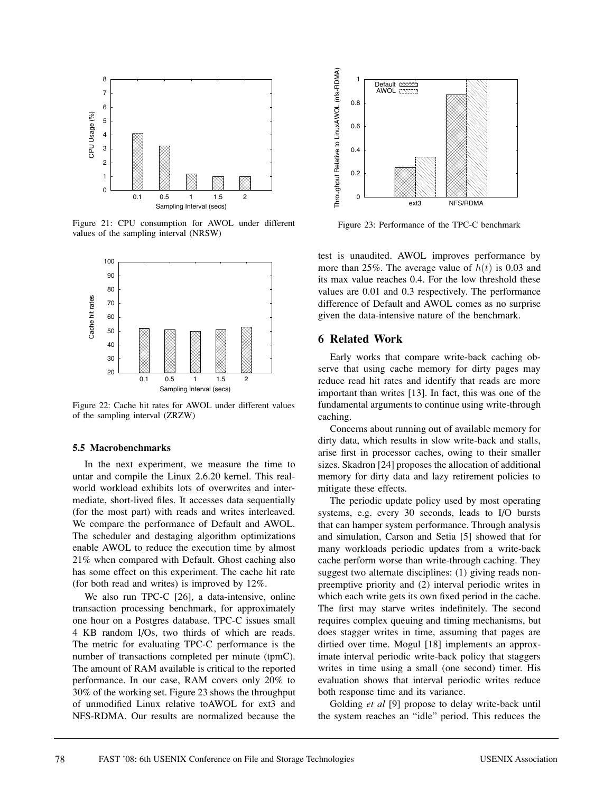

Figure 21: CPU consumption for AWOL under different values of the sampling interval (NRSW)



Figure 22: Cache hit rates for AWOL under different values of the sampling interval (ZRZW)

#### **5.5 Macrobenchmarks**

In the next experiment, we measure the time to untar and compile the Linux 2.6.20 kernel. This realworld workload exhibits lots of overwrites and intermediate, short-lived files. It accesses data sequentially (for the most part) with reads and writes interleaved. We compare the performance of Default and AWOL. The scheduler and destaging algorithm optimizations enable AWOL to reduce the execution time by almost 21% when compared with Default. Ghost caching also has some effect on this experiment. The cache hit rate (for both read and writes) is improved by 12%.

We also run TPC-C [26], a data-intensive, online transaction processing benchmark, for approximately one hour on a Postgres database. TPC-C issues small 4 KB random I/Os, two thirds of which are reads. The metric for evaluating TPC-C performance is the number of transactions completed per minute (tpmC). The amount of RAM available is critical to the reported performance. In our case, RAM covers only 20% to 30% of the working set. Figure 23 shows the throughput of unmodified Linux relative toAWOL for ext3 and NFS-RDMA. Our results are normalized because the



Figure 23: Performance of the TPC-C benchmark

test is unaudited. AWOL improves performance by more than 25%. The average value of  $h(t)$  is 0.03 and its max value reaches 0.4. For the low threshold these values are 0.01 and 0.3 respectively. The performance difference of Default and AWOL comes as no surprise given the data-intensive nature of the benchmark.

#### **6 Related Work**

Early works that compare write-back caching observe that using cache memory for dirty pages may reduce read hit rates and identify that reads are more important than writes [13]. In fact, this was one of the fundamental arguments to continue using write-through caching.

Concerns about running out of available memory for dirty data, which results in slow write-back and stalls, arise first in processor caches, owing to their smaller sizes. Skadron [24] proposes the allocation of additional memory for dirty data and lazy retirement policies to mitigate these effects.

The periodic update policy used by most operating systems, e.g. every 30 seconds, leads to I/O bursts that can hamper system performance. Through analysis and simulation, Carson and Setia [5] showed that for many workloads periodic updates from a write-back cache perform worse than write-through caching. They suggest two alternate disciplines: (1) giving reads nonpreemptive priority and (2) interval periodic writes in which each write gets its own fixed period in the cache. The first may starve writes indefinitely. The second requires complex queuing and timing mechanisms, but does stagger writes in time, assuming that pages are dirtied over time. Mogul [18] implements an approximate interval periodic write-back policy that staggers writes in time using a small (one second) timer. His evaluation shows that interval periodic writes reduce both response time and its variance.

Golding *et al* [9] propose to delay write-back until the system reaches an "idle" period. This reduces the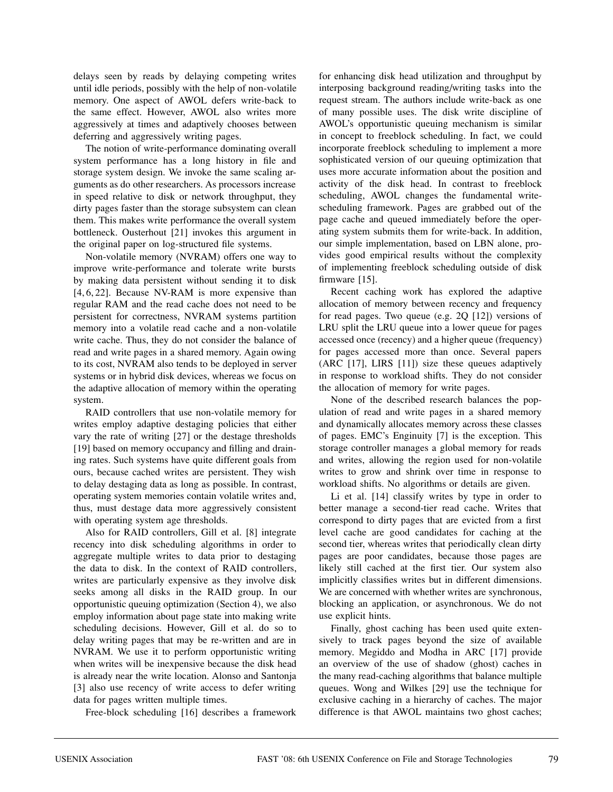delays seen by reads by delaying competing writes until idle periods, possibly with the help of non-volatile memory. One aspect of AWOL defers write-back to the same effect. However, AWOL also writes more aggressively at times and adaptively chooses between deferring and aggressively writing pages.

The notion of write-performance dominating overall system performance has a long history in file and storage system design. We invoke the same scaling arguments as do other researchers. As processors increase in speed relative to disk or network throughput, they dirty pages faster than the storage subsystem can clean them. This makes write performance the overall system bottleneck. Ousterhout [21] invokes this argument in the original paper on log-structured file systems.

Non-volatile memory (NVRAM) offers one way to improve write-performance and tolerate write bursts by making data persistent without sending it to disk [4, 6, 22]. Because NV-RAM is more expensive than regular RAM and the read cache does not need to be persistent for correctness, NVRAM systems partition memory into a volatile read cache and a non-volatile write cache. Thus, they do not consider the balance of read and write pages in a shared memory. Again owing to its cost, NVRAM also tends to be deployed in server systems or in hybrid disk devices, whereas we focus on the adaptive allocation of memory within the operating system.

RAID controllers that use non-volatile memory for writes employ adaptive destaging policies that either vary the rate of writing [27] or the destage thresholds [19] based on memory occupancy and filling and draining rates. Such systems have quite different goals from ours, because cached writes are persistent. They wish to delay destaging data as long as possible. In contrast, operating system memories contain volatile writes and, thus, must destage data more aggressively consistent with operating system age thresholds.

Also for RAID controllers, Gill et al. [8] integrate recency into disk scheduling algorithms in order to aggregate multiple writes to data prior to destaging the data to disk. In the context of RAID controllers, writes are particularly expensive as they involve disk seeks among all disks in the RAID group. In our opportunistic queuing optimization (Section 4), we also employ information about page state into making write scheduling decisions. However, Gill et al. do so to delay writing pages that may be re-written and are in NVRAM. We use it to perform opportunistic writing when writes will be inexpensive because the disk head is already near the write location. Alonso and Santonja [3] also use recency of write access to defer writing data for pages written multiple times.

Free-block scheduling [16] describes a framework

for enhancing disk head utilization and throughput by interposing background reading/writing tasks into the request stream. The authors include write-back as one of many possible uses. The disk write discipline of AWOL's opportunistic queuing mechanism is similar in concept to freeblock scheduling. In fact, we could incorporate freeblock scheduling to implement a more sophisticated version of our queuing optimization that uses more accurate information about the position and activity of the disk head. In contrast to freeblock scheduling, AWOL changes the fundamental writescheduling framework. Pages are grabbed out of the page cache and queued immediately before the operating system submits them for write-back. In addition, our simple implementation, based on LBN alone, provides good empirical results without the complexity of implementing freeblock scheduling outside of disk firmware [15].

Recent caching work has explored the adaptive allocation of memory between recency and frequency for read pages. Two queue (e.g. 2Q [12]) versions of LRU split the LRU queue into a lower queue for pages accessed once (recency) and a higher queue (frequency) for pages accessed more than once. Several papers (ARC [17], LIRS [11]) size these queues adaptively in response to workload shifts. They do not consider the allocation of memory for write pages.

None of the described research balances the population of read and write pages in a shared memory and dynamically allocates memory across these classes of pages. EMC's Enginuity [7] is the exception. This storage controller manages a global memory for reads and writes, allowing the region used for non-volatile writes to grow and shrink over time in response to workload shifts. No algorithms or details are given.

Li et al. [14] classify writes by type in order to better manage a second-tier read cache. Writes that correspond to dirty pages that are evicted from a first level cache are good candidates for caching at the second tier, whereas writes that periodically clean dirty pages are poor candidates, because those pages are likely still cached at the first tier. Our system also implicitly classifies writes but in different dimensions. We are concerned with whether writes are synchronous, blocking an application, or asynchronous. We do not use explicit hints.

Finally, ghost caching has been used quite extensively to track pages beyond the size of available memory. Megiddo and Modha in ARC [17] provide an overview of the use of shadow (ghost) caches in the many read-caching algorithms that balance multiple queues. Wong and Wilkes [29] use the technique for exclusive caching in a hierarchy of caches. The major difference is that AWOL maintains two ghost caches;